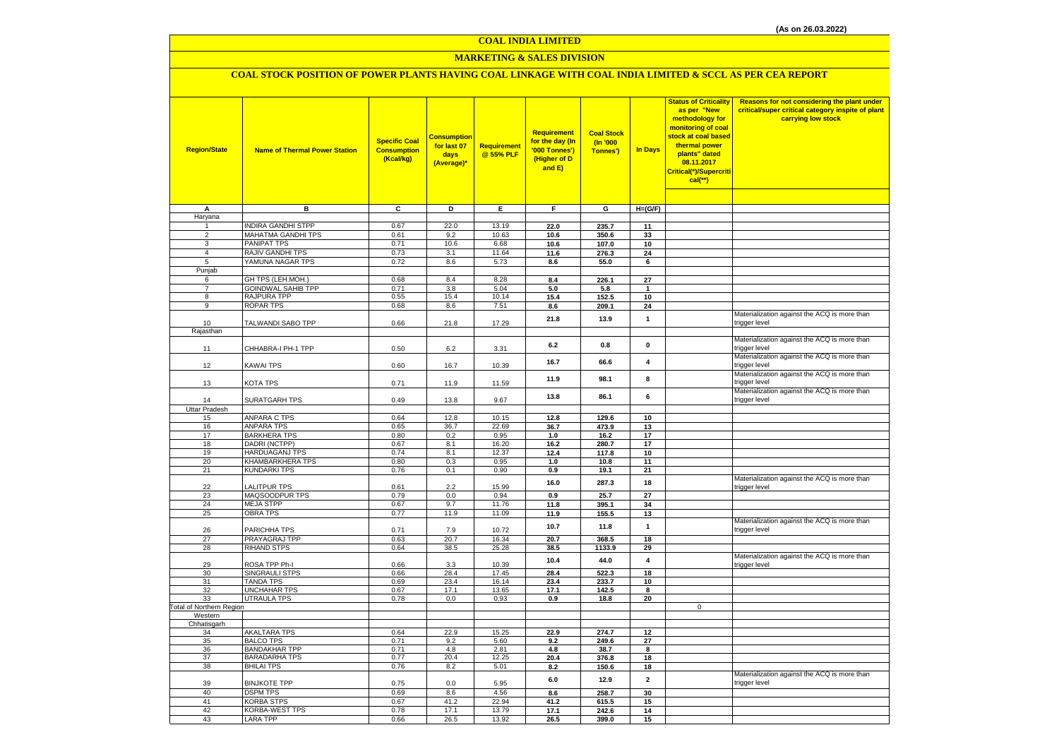#### **COAL INDIA LIMITED**

## **MARKETING & SALES DIVISION**

## **COAL STOCK POSITION OF POWER PLANTS HAVING COAL LINKAGE WITH COAL INDIA LIMITED & SCCL AS PER CEA REPORT**

| <b>Region/State</b>                   | <b>Name of Thermal Power Station</b>      | <b>Specific Coal</b><br><b>Consumption</b><br>(Kcal/kg) | <b>Consumption</b><br>for last 07<br>days<br>(Average)* | Requirement<br>@ 55% PLF | Requirement<br>for the day (In<br>'000 Tonnes')<br>(Higher of D<br>and E) | <b>Coal Stock</b><br>(In '000<br>Tonnes') | <b>In Days</b>  | <b>Status of Criticality</b><br>as per "New<br>methodology for<br>monitoring of coal<br>stock at coal based<br>thermal power<br>plants" dated<br>08.11.2017<br>Critical(*)/Supercriti<br>$cal$ (**) | Reasons for not considering the plant under<br>critical/super critical category inspite of plant<br>carrying low stock |
|---------------------------------------|-------------------------------------------|---------------------------------------------------------|---------------------------------------------------------|--------------------------|---------------------------------------------------------------------------|-------------------------------------------|-----------------|-----------------------------------------------------------------------------------------------------------------------------------------------------------------------------------------------------|------------------------------------------------------------------------------------------------------------------------|
|                                       |                                           |                                                         |                                                         |                          |                                                                           |                                           |                 |                                                                                                                                                                                                     |                                                                                                                        |
| Α                                     | в                                         | $\overline{c}$                                          | Þ                                                       | Ε                        | F                                                                         | G                                         | $H=(G/F)$       |                                                                                                                                                                                                     |                                                                                                                        |
| Haryana<br>$\mathbf{1}$               | <b>INDIRA GANDHI STPP</b>                 | 0.67                                                    | 22.0                                                    | 13.19                    | 22.0                                                                      | 235.7                                     | 11              |                                                                                                                                                                                                     |                                                                                                                        |
| $\overline{2}$                        | MAHATMA GANDHI TPS                        | 0.61                                                    | 9.2                                                     | 10.63                    | 10.6                                                                      | 350.6                                     | 33              |                                                                                                                                                                                                     |                                                                                                                        |
| 3                                     | <b>PANIPAT TPS</b>                        | 0.71                                                    | 10.6                                                    | 6.68                     | 10.6                                                                      | 107.0                                     | 10              |                                                                                                                                                                                                     |                                                                                                                        |
| $\overline{4}$                        | RAJIV GANDHI TPS                          | 0.73                                                    | 3.1                                                     | 11.64                    | 11.6                                                                      | 276.3                                     | 24              |                                                                                                                                                                                                     |                                                                                                                        |
| 5                                     | YAMUNA NAGAR TPS                          | 0.72                                                    | 8.6                                                     | 5.73                     | 8.6                                                                       | 55.0                                      | 6               |                                                                                                                                                                                                     |                                                                                                                        |
| Punjab                                |                                           |                                                         |                                                         |                          |                                                                           |                                           |                 |                                                                                                                                                                                                     |                                                                                                                        |
| 6                                     | GH TPS (LEH.MOH.)                         | 0.68                                                    | 8.4                                                     | 8.28                     | 8.4                                                                       | 226.1                                     | $\overline{27}$ |                                                                                                                                                                                                     |                                                                                                                        |
| $\overline{7}$                        | <b>GOINDWAL SAHIB TPP</b>                 | 0.71                                                    | 3.8                                                     | 5.04                     | 5.0                                                                       | 5.8                                       | $\mathbf{1}$    |                                                                                                                                                                                                     |                                                                                                                        |
| 8<br>9                                | <b>RAJPURA TPP</b>                        | 0.55<br>0.68                                            | 15.4                                                    | 10.14                    | 15.4                                                                      | 152.5                                     | 10              |                                                                                                                                                                                                     |                                                                                                                        |
|                                       | ROPAR TPS                                 |                                                         | 8.6                                                     | 7.51                     | 8.6                                                                       | 209.1                                     | 24              |                                                                                                                                                                                                     | Materialization against the ACQ is more than                                                                           |
| 10                                    | TALWANDI SABO TPP                         | 0.66                                                    | 21.8                                                    | 17.29                    | 21.8                                                                      | 13.9                                      | $\mathbf{1}$    |                                                                                                                                                                                                     | trigger level                                                                                                          |
| Rajasthan                             |                                           |                                                         |                                                         |                          |                                                                           |                                           |                 |                                                                                                                                                                                                     |                                                                                                                        |
| 11                                    | CHHABRA-I PH-1 TPP                        | 0.50                                                    | 6.2                                                     | 3.31                     | 6.2                                                                       | 0.8                                       | $\pmb{0}$       |                                                                                                                                                                                                     | Materialization against the ACQ is more than<br>trigger level                                                          |
| 12                                    | <b>KAWAI TPS</b>                          | 0.60                                                    | 16.7                                                    | 10.39                    | 16.7                                                                      | 66.6                                      | 4               |                                                                                                                                                                                                     | Materialization against the ACQ is more than<br>trigger level                                                          |
| 13                                    | <b>KOTA TPS</b>                           | 0.71                                                    | 11.9                                                    | 11.59                    | 11.9                                                                      | 98.1                                      | 8               |                                                                                                                                                                                                     | Materialization against the ACQ is more than<br>trigger level                                                          |
| 14                                    | SURATGARH TPS                             | 0.49                                                    | 13.8                                                    | 9.67                     | 13.8                                                                      | 86.1                                      | 6               |                                                                                                                                                                                                     | Materialization against the ACQ is more than<br>trigger level                                                          |
| <b>Uttar Pradesh</b><br>15            | <b>ANPARA C TPS</b>                       | 0.64                                                    | 12.8                                                    | 10.15                    | 12.8                                                                      | 129.6                                     | 10              |                                                                                                                                                                                                     |                                                                                                                        |
| 16                                    | <b>ANPARA TPS</b>                         | 0.65                                                    | 36.7                                                    | 22.69                    | 36.7                                                                      | 473.9                                     | 13              |                                                                                                                                                                                                     |                                                                                                                        |
| 17                                    | <b>BARKHERA TPS</b>                       | 0.80                                                    | 0.2                                                     | 0.95                     | 1.0                                                                       | 16.2                                      | 17              |                                                                                                                                                                                                     |                                                                                                                        |
| 18                                    | DADRI (NCTPP)                             | 0.67                                                    | 8.1                                                     | 16.20                    | 16.2                                                                      | 280.7                                     | 17              |                                                                                                                                                                                                     |                                                                                                                        |
| 19                                    | <b>HARDUAGANJ TPS</b>                     | 0.74                                                    | 8.1                                                     | 12.37                    | 12.4                                                                      | 117.8                                     | 10              |                                                                                                                                                                                                     |                                                                                                                        |
| 20                                    | KHAMBARKHERA TPS                          | 0.80                                                    | 0.3                                                     | 0.95                     | 1.0                                                                       | 10.8                                      | 11              |                                                                                                                                                                                                     |                                                                                                                        |
| 21                                    | <b>KUNDARKI TPS</b>                       | 0.76                                                    | 0.1                                                     | 0.90                     | 0.9                                                                       | 19.1                                      | 21              |                                                                                                                                                                                                     | Materialization against the ACQ is more than                                                                           |
| 22                                    | <b>ALITPUR TPS</b>                        | 0.61                                                    | 2.2                                                     | 15.99                    | 16.0                                                                      | 287.3                                     | 18              |                                                                                                                                                                                                     | trigger level                                                                                                          |
| 23                                    | MAQSOODPUR TPS                            | 0.79                                                    | 0.0                                                     | 0.94                     | 0.9                                                                       | 25.7                                      | 27              |                                                                                                                                                                                                     |                                                                                                                        |
| 24                                    | <b>MEJA STPP</b>                          | 0.67                                                    | 9.7                                                     | 11.76                    | 11.8                                                                      | 395.1                                     | 34              |                                                                                                                                                                                                     |                                                                                                                        |
| 25                                    | <b>OBRA TPS</b>                           | 0.77                                                    | 11.9                                                    | 11.09                    | 11.9                                                                      | 155.5                                     | 13              |                                                                                                                                                                                                     |                                                                                                                        |
|                                       | PARICHHA TPS                              |                                                         |                                                         |                          | 10.7                                                                      | 11.8                                      | $\mathbf{1}$    |                                                                                                                                                                                                     | Materialization against the ACQ is more than<br>trigger level                                                          |
| 26<br>27                              | PRAYAGRAJ TPP                             | 0.71<br>0.63                                            | 7.9<br>20.7                                             | 10.72<br>16.34           | 20.7                                                                      | 368.5                                     | 18              |                                                                                                                                                                                                     |                                                                                                                        |
| 28                                    | <b>RIHAND STPS</b>                        | 0.64                                                    | 38.5                                                    | 25.28                    | 38.5                                                                      | 1133.9                                    | 29              |                                                                                                                                                                                                     |                                                                                                                        |
| 29                                    | ROSA TPP Ph-I                             | 0.66                                                    | 3.3                                                     | 10.39                    | 10.4                                                                      | 44.0                                      | 4               |                                                                                                                                                                                                     | Materialization against the ACQ is more than<br>trigger level                                                          |
| 30                                    | SINGRAULI STPS                            | 0.66                                                    | 28.4                                                    | 17.45                    | 28.4                                                                      | 522.3                                     | 18              |                                                                                                                                                                                                     |                                                                                                                        |
| 31                                    | <b>TANDA TPS</b>                          | 0.69                                                    | 23.4                                                    | 16.14                    | 23.4                                                                      | 233.7                                     | 10              |                                                                                                                                                                                                     |                                                                                                                        |
| 32                                    | <b>UNCHAHAR TPS</b><br><b>UTRAULA TPS</b> | 0.67                                                    | 17.1                                                    | 13.65                    | 17.1                                                                      | 142.5                                     | 8               |                                                                                                                                                                                                     |                                                                                                                        |
| 33<br><b>Total of Northern Region</b> |                                           | 0.78                                                    | 0.0                                                     | 0.93                     | 0.9                                                                       | 18.8                                      | 20              | $\mathbf 0$                                                                                                                                                                                         |                                                                                                                        |
| Western                               |                                           |                                                         |                                                         |                          |                                                                           |                                           |                 |                                                                                                                                                                                                     |                                                                                                                        |
| Chhatisgarh                           |                                           |                                                         |                                                         |                          |                                                                           |                                           |                 |                                                                                                                                                                                                     |                                                                                                                        |
| 34                                    | <b>AKALTARA TPS</b>                       | 0.64                                                    | 22.9                                                    | 15.25                    | 22.9                                                                      | 274.7                                     | 12              |                                                                                                                                                                                                     |                                                                                                                        |
| 35                                    | <b>BALCO TPS</b><br><b>BANDAKHAR TPP</b>  | 0.71                                                    | 9.2                                                     | 5.60                     | 9.2                                                                       | 249.6                                     | 27              |                                                                                                                                                                                                     |                                                                                                                        |
| 36<br>37                              | <b>BARADARHA TPS</b>                      | 0.71<br>0.77                                            | 4.8<br>20.4                                             | 2.81<br>12.25            | 4.8<br>20.4                                                               | 38.7<br>376.8                             | 8<br>18         |                                                                                                                                                                                                     |                                                                                                                        |
| 38                                    | <b>BHILAI TPS</b>                         | 0.76                                                    | 8.2                                                     | 5.01                     | 8.2                                                                       | 150.6                                     | 18              |                                                                                                                                                                                                     |                                                                                                                        |
|                                       |                                           |                                                         |                                                         |                          |                                                                           |                                           |                 |                                                                                                                                                                                                     | Materialization against the ACQ is more than                                                                           |
| 39                                    | <b>BINJKOTE TPP</b>                       | 0.75                                                    | 0.0                                                     | 5.95                     | 6.0                                                                       | 12.9                                      | $\overline{2}$  |                                                                                                                                                                                                     | trigger level                                                                                                          |
| 40                                    | <b>DSPM TPS</b>                           | 0.69                                                    | 8.6                                                     | 4.56                     | 8.6                                                                       | 258.7                                     | 30              |                                                                                                                                                                                                     |                                                                                                                        |
| 41                                    | <b>KORBA STPS</b>                         | 0.67                                                    | 41.2                                                    | 22.94                    | 41.2                                                                      | 615.5                                     | 15              |                                                                                                                                                                                                     |                                                                                                                        |
| 42                                    | <b>KORBA-WEST TPS</b>                     | 0.78                                                    | 17.1                                                    | 13.79                    | 17.1                                                                      | 242.6                                     | 14              |                                                                                                                                                                                                     |                                                                                                                        |
| 43                                    | <b>LARA TPP</b>                           | 0.66                                                    | 26.5                                                    | 13.92                    | 26.5                                                                      | 399.0                                     | 15              |                                                                                                                                                                                                     |                                                                                                                        |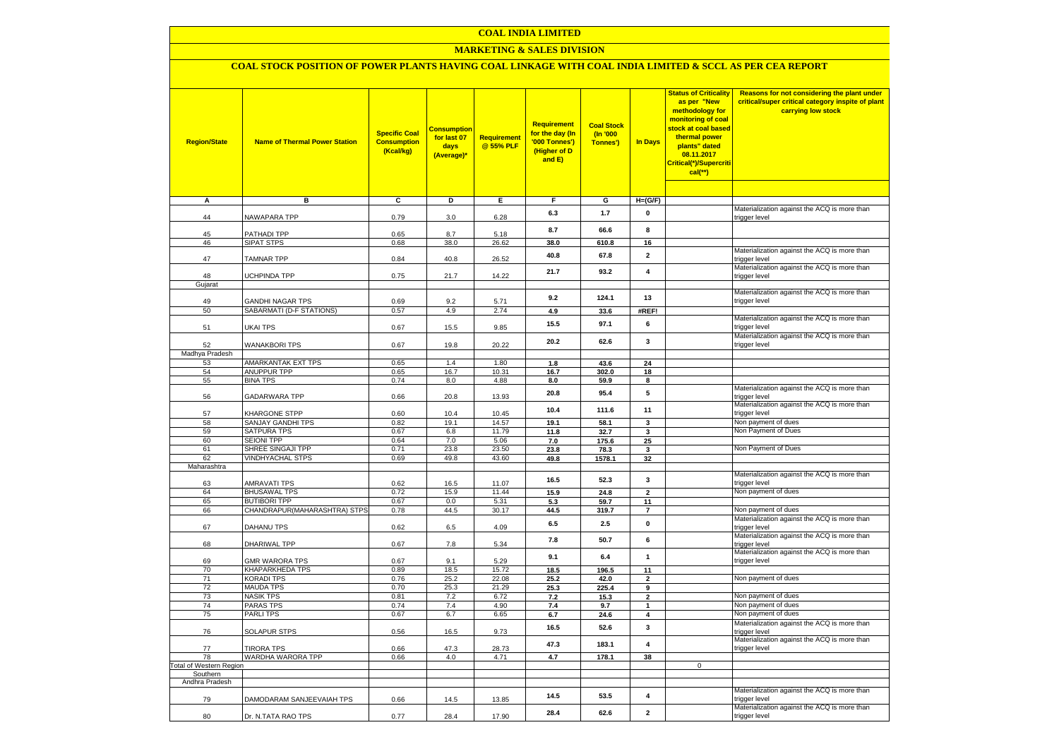#### **COAL INDIA LIMITED**

## **MARKETING & SALES DIVISION**

## **COAL STOCK POSITION OF POWER PLANTS HAVING COAL LINKAGE WITH COAL INDIA LIMITED & SCCL AS PER CEA REPORT**

| <b>Region/State</b>            | <b>Name of Thermal Power Station</b>   | <b>Specific Coal</b><br><b>Consumption</b><br>(Kcal/kg) | <b>Consumption</b><br>for last 07<br>days<br>(Average)* | <b>Requirement</b><br>@ 55% PLF | Requirement<br>for the day (In<br>'000 Tonnes')<br>(Higher of D<br>and E) | <b>Coal Stock</b><br>(In '000<br>Tonnes') | <b>In Days</b>          | <b>Status of Criticality</b><br>as per "New<br>methodology for<br>monitoring of coal<br>stock at coal based<br>thermal power<br>plants" dated<br>08.11.2017<br>Critical(*)/Supercriti<br>$cal$ (**) | Reasons for not considering the plant under<br>critical/super critical category inspite of plant<br>carrying low stock |
|--------------------------------|----------------------------------------|---------------------------------------------------------|---------------------------------------------------------|---------------------------------|---------------------------------------------------------------------------|-------------------------------------------|-------------------------|-----------------------------------------------------------------------------------------------------------------------------------------------------------------------------------------------------|------------------------------------------------------------------------------------------------------------------------|
|                                |                                        |                                                         |                                                         |                                 |                                                                           |                                           |                         |                                                                                                                                                                                                     |                                                                                                                        |
| А                              | в                                      | c                                                       | D                                                       | Ε                               | F                                                                         | G                                         | $H=(G/F)$               |                                                                                                                                                                                                     | Materialization against the ACQ is more than                                                                           |
| 44                             | NAWAPARA TPP                           | 0.79                                                    | 3.0                                                     | 6.28                            | 6.3                                                                       | 1.7                                       | 0                       |                                                                                                                                                                                                     | trigger level                                                                                                          |
| 45                             | PATHADI TPP                            | 0.65                                                    | 8.7                                                     | 5.18                            | 8.7                                                                       | 66.6                                      | 8                       |                                                                                                                                                                                                     |                                                                                                                        |
| 46                             | <b>SIPAT STPS</b>                      | 0.68                                                    | 38.0                                                    | 26.62                           | 38.0                                                                      | 610.8                                     | 16                      |                                                                                                                                                                                                     |                                                                                                                        |
| 47                             | <b>TAMNAR TPP</b>                      | 0.84                                                    | 40.8                                                    | 26.52                           | 40.8                                                                      | 67.8                                      | $\overline{\mathbf{2}}$ |                                                                                                                                                                                                     | Materialization against the ACQ is more than<br>trigger level                                                          |
|                                |                                        |                                                         |                                                         |                                 |                                                                           |                                           |                         |                                                                                                                                                                                                     | Materialization against the ACQ is more than                                                                           |
| 48                             | UCHPINDA TPP                           | 0.75                                                    | 21.7                                                    | 14.22                           | 21.7                                                                      | 93.2                                      | $\overline{\mathbf{4}}$ |                                                                                                                                                                                                     | trigger level                                                                                                          |
| Gujarat                        |                                        |                                                         |                                                         |                                 |                                                                           |                                           |                         |                                                                                                                                                                                                     | Materialization against the ACQ is more than                                                                           |
| 49                             | <b>GANDHI NAGAR TPS</b>                | 0.69                                                    | 9.2                                                     | 5.71                            | 9.2                                                                       | 124.1                                     | 13                      |                                                                                                                                                                                                     | trigger level                                                                                                          |
| 50                             | SABARMATI (D-F STATIONS)               | 0.57                                                    | 4.9                                                     | 2.74                            | 4.9                                                                       | 33.6                                      | #REF!                   |                                                                                                                                                                                                     |                                                                                                                        |
| 51                             | UKAI TPS                               |                                                         | 15.5                                                    | 9.85                            | 15.5                                                                      | 97.1                                      | 6                       |                                                                                                                                                                                                     | Materialization against the ACQ is more than<br>trigger level                                                          |
|                                |                                        | 0.67                                                    |                                                         |                                 |                                                                           |                                           |                         |                                                                                                                                                                                                     | Materialization against the ACQ is more than                                                                           |
| 52                             | <b>WANAKBORI TPS</b>                   | 0.67                                                    | 19.8                                                    | 20.22                           | 20.2                                                                      | 62.6                                      | 3                       |                                                                                                                                                                                                     | trigger level                                                                                                          |
| Madhya Pradesh                 |                                        |                                                         |                                                         |                                 |                                                                           |                                           |                         |                                                                                                                                                                                                     |                                                                                                                        |
| 53<br>54                       | AMARKANTAK EXT TPS<br>ANUPPUR TPP      | 0.65<br>0.65                                            | 1.4<br>16.7                                             | 1.80<br>10.31                   | 1.8<br>16.7                                                               | 43.6<br>302.0                             | 24<br>18                |                                                                                                                                                                                                     |                                                                                                                        |
| 55                             | <b>BINA TPS</b>                        | 0.74                                                    | 8.0                                                     | 4.88                            | 8.0                                                                       | 59.9                                      | 8                       |                                                                                                                                                                                                     |                                                                                                                        |
|                                |                                        |                                                         |                                                         |                                 | 20.8                                                                      | 95.4                                      | 5                       |                                                                                                                                                                                                     | Materialization against the ACQ is more than                                                                           |
| 56                             | GADARWARA TPP                          | 0.66                                                    | 20.8                                                    | 13.93                           |                                                                           |                                           |                         |                                                                                                                                                                                                     | trigger level                                                                                                          |
| 57                             | KHARGONE STPP                          | 0.60                                                    | 10.4                                                    | 10.45                           | 10.4                                                                      | 111.6                                     | 11                      |                                                                                                                                                                                                     | Materialization against the ACQ is more than<br>trigger level                                                          |
| 58                             | SANJAY GANDHI TPS                      | 0.82                                                    | 19.1                                                    | 14.57                           | 19.1                                                                      | 58.1                                      | 3                       |                                                                                                                                                                                                     | Non payment of dues                                                                                                    |
| 59                             | SATPURA TPS                            | 0.67                                                    | 6.8                                                     | 11.79                           | 11.8                                                                      | 32.7                                      | 3                       |                                                                                                                                                                                                     | Non Payment of Dues                                                                                                    |
| 60                             | <b>SEIONI TPP</b>                      | 0.64                                                    | 7.0                                                     | 5.06                            | 7.0                                                                       | 175.6                                     | 25                      |                                                                                                                                                                                                     |                                                                                                                        |
| 61                             | SHREE SINGAJI TPP                      | 0.71                                                    | 23.8                                                    | 23.50                           | 23.8                                                                      | 78.3                                      | 3                       |                                                                                                                                                                                                     | Non Payment of Dues                                                                                                    |
| 62                             | <b>VINDHYACHAL STPS</b>                | 0.69                                                    | 49.8                                                    | 43.60                           | 49.8                                                                      | 1578.1                                    | 32                      |                                                                                                                                                                                                     |                                                                                                                        |
| Maharashtra                    |                                        |                                                         |                                                         |                                 |                                                                           |                                           |                         |                                                                                                                                                                                                     |                                                                                                                        |
| 63                             | AMRAVATI TPS                           | 0.62                                                    | 16.5                                                    | 11.07                           | 16.5                                                                      | 52.3                                      | 3                       |                                                                                                                                                                                                     | Materialization against the ACQ is more than<br>trigger level                                                          |
| 64                             | <b>BHUSAWAL TPS</b>                    | 0.72                                                    | 15.9                                                    | 11.44                           | 15.9                                                                      | 24.8                                      | $\mathbf{2}$            |                                                                                                                                                                                                     | Non payment of dues                                                                                                    |
| 65                             | <b>BUTIBORI TPP</b>                    | 0.67                                                    | 0.0                                                     | 5.31                            | 5.3                                                                       | 59.7                                      | 11                      |                                                                                                                                                                                                     |                                                                                                                        |
| 66                             | CHANDRAPUR(MAHARASHTRA) STPS           | 0.78                                                    | 44.5                                                    | 30.17                           | 44.5                                                                      | 319.7                                     | $\overline{7}$          |                                                                                                                                                                                                     | Non payment of dues                                                                                                    |
|                                |                                        |                                                         |                                                         |                                 | 6.5                                                                       | 2.5                                       | 0                       |                                                                                                                                                                                                     | Materialization against the ACQ is more than                                                                           |
| 67                             | DAHANU TPS                             | 0.62                                                    | 6.5                                                     | 4.09                            |                                                                           |                                           |                         |                                                                                                                                                                                                     | trigger level<br>Materialization against the ACQ is more than                                                          |
| 68                             | DHARIWAL TPP                           | 0.67                                                    | 7.8                                                     | 5.34                            | 7.8                                                                       | 50.7                                      | 6                       |                                                                                                                                                                                                     | trigger level                                                                                                          |
| 69                             | <b>GMR WARORA TPS</b>                  | 0.67                                                    | 9.1                                                     | 5.29                            | 9.1                                                                       | 6.4                                       | $\mathbf{1}$            |                                                                                                                                                                                                     | Materialization against the ACQ is more than<br>trigger level                                                          |
| 70                             | <b>KHAPARKHEDA TPS</b>                 | 0.89                                                    | 18.5                                                    | 15.72                           | 18.5                                                                      | 196.5                                     | 11                      |                                                                                                                                                                                                     |                                                                                                                        |
| 71                             | <b>KORADI TPS</b>                      | 0.76                                                    | 25.2                                                    | 22.08                           | 25.2                                                                      | 42.0                                      | $\overline{2}$          |                                                                                                                                                                                                     | Non payment of dues                                                                                                    |
| 72                             | <b>MAUDA TPS</b>                       | 0.70                                                    | 25.3                                                    | 21.29                           | 25.3                                                                      | 225.4                                     | 9                       |                                                                                                                                                                                                     |                                                                                                                        |
| 73                             | <b>NASIK TPS</b>                       | 0.81                                                    | 7.2                                                     | 6.72                            | $\bf 7.2$                                                                 | 15.3                                      | $\overline{2}$          |                                                                                                                                                                                                     | Non payment of dues                                                                                                    |
| 74                             | <b>PARAS TPS</b>                       | 0.74                                                    | 7.4                                                     | 4.90                            | 7.4                                                                       | 9.7                                       | $\mathbf{1}$            |                                                                                                                                                                                                     | Non payment of dues                                                                                                    |
| 75                             | <b>PARLITPS</b>                        | 0.67                                                    | 6.7                                                     | 6.65                            | 6.7                                                                       | 24.6                                      | 4                       |                                                                                                                                                                                                     | Non payment of dues                                                                                                    |
| 76                             | <b>SOLAPUR STPS</b>                    | 0.56                                                    | 16.5                                                    | 9.73                            | 16.5                                                                      | 52.6                                      | 3                       |                                                                                                                                                                                                     | Materialization against the ACQ is more than<br>trigger level                                                          |
|                                |                                        |                                                         |                                                         |                                 | 47.3                                                                      | 183.1                                     | 4                       |                                                                                                                                                                                                     | Materialization against the ACQ is more than                                                                           |
| 77<br>78                       | <b>TIRORA TPS</b><br>WARDHA WARORA TPP | 0.66<br>0.66                                            | 47.3<br>4.0                                             | 28.73                           |                                                                           |                                           |                         |                                                                                                                                                                                                     | trigger level                                                                                                          |
| <b>Total of Western Region</b> |                                        |                                                         |                                                         | 4.71                            | 4.7                                                                       | 178.1                                     | 38                      | $\mathbf 0$                                                                                                                                                                                         |                                                                                                                        |
| Southern                       |                                        |                                                         |                                                         |                                 |                                                                           |                                           |                         |                                                                                                                                                                                                     |                                                                                                                        |
| Andhra Pradesh                 |                                        |                                                         |                                                         |                                 |                                                                           |                                           |                         |                                                                                                                                                                                                     |                                                                                                                        |
| 79                             | DAMODARAM SANJEEVAIAH TPS              | 0.66                                                    | 14.5                                                    | 13.85                           | 14.5                                                                      | 53.5                                      | 4                       |                                                                                                                                                                                                     | Materialization against the ACQ is more than<br>trigger level                                                          |
|                                |                                        |                                                         |                                                         |                                 | 28.4                                                                      | 62.6                                      | $\mathbf{2}$            |                                                                                                                                                                                                     | Materialization against the ACQ is more than                                                                           |
| 80                             | Dr. N.TATA RAO TPS                     | 0.77                                                    | 28.4                                                    | 17.90                           |                                                                           |                                           |                         |                                                                                                                                                                                                     | trigger level                                                                                                          |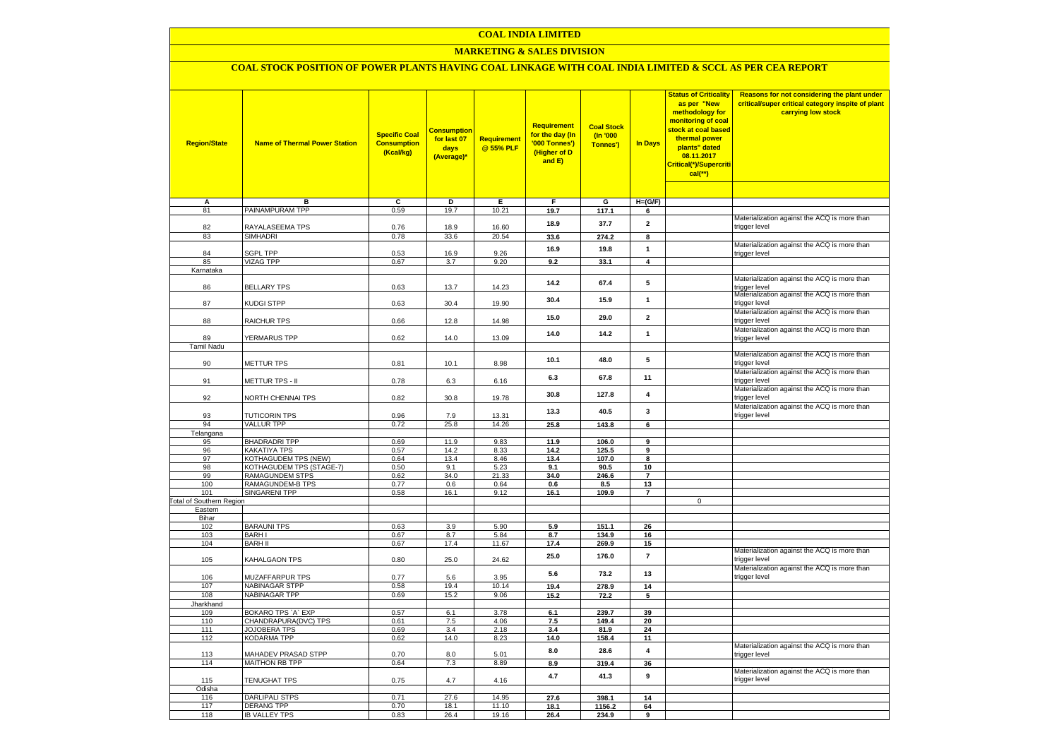## **COAL INDIA LIMITED**

## **MARKETING & SALES DIVISION**

# **COAL STOCK POSITION OF POWER PLANTS HAVING COAL LINKAGE WITH COAL INDIA LIMITED & SCCL AS PER CEA REPORT**

| <b>Region/State</b>                        | <b>Name of Thermal Power Station</b>         | <b>Specific Coal</b><br><b>Consumption</b><br>(Kcal/kg) | <mark>Consumption</mark><br>for last 07<br>days<br>(Average)* | <b>Requirement</b><br>@ 55% PLF | <b>Requirement</b><br>for the day (In<br>'000 Tonnes')<br>(Higher of D<br>and E) | <b>Coal Stock</b><br>(In '000<br>Tonnes') | <b>In Days</b>          | <b>Status of Criticality</b><br>as per "New<br>methodology for<br>monitoring of coal<br>stock at coal based<br>thermal power<br>plants" dated<br>08.11.2017<br>Critical(*)/Supercriti<br>$cal$ (**) | Reasons for not considering the plant under<br>critical/super critical category inspite of plant<br>carrying low stock |
|--------------------------------------------|----------------------------------------------|---------------------------------------------------------|---------------------------------------------------------------|---------------------------------|----------------------------------------------------------------------------------|-------------------------------------------|-------------------------|-----------------------------------------------------------------------------------------------------------------------------------------------------------------------------------------------------|------------------------------------------------------------------------------------------------------------------------|
|                                            |                                              |                                                         |                                                               |                                 |                                                                                  |                                           |                         |                                                                                                                                                                                                     |                                                                                                                        |
| А<br>81                                    | в<br>PAINAMPURAM TPP                         | c<br>0.59                                               | D<br>19.7                                                     | Е<br>10.21                      | F                                                                                | G                                         | $H=(G/F)$               |                                                                                                                                                                                                     |                                                                                                                        |
|                                            |                                              |                                                         |                                                               |                                 | 19.7                                                                             | 117.1                                     | 6                       |                                                                                                                                                                                                     | Materialization against the ACQ is more than                                                                           |
| 82                                         | RAYALASEEMA TPS                              | 0.76                                                    | 18.9                                                          | 16.60                           | 18.9                                                                             | 37.7                                      | $\mathbf{2}$            |                                                                                                                                                                                                     | trigger level                                                                                                          |
| 83                                         | <b>SIMHADRI</b>                              | 0.78                                                    | 33.6                                                          | 20.54                           | 33.6                                                                             | 274.2                                     | 8                       |                                                                                                                                                                                                     |                                                                                                                        |
|                                            |                                              |                                                         |                                                               |                                 | 16.9                                                                             | 19.8                                      | $\mathbf{1}$            |                                                                                                                                                                                                     | Materialization against the ACQ is more than                                                                           |
| 84<br>85                                   | <b>SGPL TPP</b><br><b>VIZAG TPP</b>          | 0.53<br>0.67                                            | 16.9<br>3.7                                                   | 9.26<br>9.20                    | 9.2                                                                              | 33.1                                      | $\overline{4}$          |                                                                                                                                                                                                     | trigger level                                                                                                          |
| Karnataka                                  |                                              |                                                         |                                                               |                                 |                                                                                  |                                           |                         |                                                                                                                                                                                                     |                                                                                                                        |
|                                            |                                              |                                                         |                                                               |                                 | 14.2                                                                             | 67.4                                      | 5                       |                                                                                                                                                                                                     | Materialization against the ACQ is more than                                                                           |
| 86                                         | <b>BELLARY TPS</b>                           | 0.63                                                    | 13.7                                                          | 14.23                           |                                                                                  |                                           |                         |                                                                                                                                                                                                     | trigger level                                                                                                          |
| 87                                         | <b>KUDGI STPP</b>                            | 0.63                                                    | 30.4                                                          | 19.90                           | 30.4                                                                             | 15.9                                      | $\mathbf{1}$            |                                                                                                                                                                                                     | Materialization against the ACQ is more than<br>trigger level                                                          |
|                                            |                                              |                                                         |                                                               |                                 |                                                                                  |                                           |                         |                                                                                                                                                                                                     | Materialization against the ACQ is more than                                                                           |
| 88                                         | RAICHUR TPS                                  | 0.66                                                    | 12.8                                                          | 14.98                           | 15.0                                                                             | 29.0                                      | $\overline{2}$          |                                                                                                                                                                                                     | trigger level                                                                                                          |
|                                            |                                              |                                                         |                                                               |                                 | 14.0                                                                             | 14.2                                      | $\mathbf{1}$            |                                                                                                                                                                                                     | Materialization against the ACQ is more than                                                                           |
| 89<br>Tamil Nadu                           | YERMARUS TPP                                 | 0.62                                                    | 14.0                                                          | 13.09                           |                                                                                  |                                           |                         |                                                                                                                                                                                                     | trigger level                                                                                                          |
|                                            |                                              |                                                         |                                                               |                                 |                                                                                  |                                           |                         |                                                                                                                                                                                                     | Materialization against the ACQ is more than                                                                           |
| 90                                         | METTUR TPS                                   | 0.81                                                    | 10.1                                                          | 8.98                            | 10.1                                                                             | 48.0                                      | 5                       |                                                                                                                                                                                                     | trigger level                                                                                                          |
|                                            |                                              |                                                         |                                                               |                                 | 6.3                                                                              | 67.8                                      | 11                      |                                                                                                                                                                                                     | Materialization against the ACQ is more than                                                                           |
| 91                                         | METTUR TPS - II                              | 0.78                                                    | 6.3                                                           | 6.16                            |                                                                                  |                                           |                         |                                                                                                                                                                                                     | trigger level                                                                                                          |
| 92                                         | NORTH CHENNAI TPS                            | 0.82                                                    | 30.8                                                          | 19.78                           | 30.8                                                                             | 127.8                                     | 4                       |                                                                                                                                                                                                     | Materialization against the ACQ is more than<br>trigger level                                                          |
|                                            |                                              |                                                         |                                                               |                                 |                                                                                  |                                           |                         |                                                                                                                                                                                                     | Materialization against the ACQ is more than                                                                           |
| 93                                         | <b>TUTICORIN TPS</b>                         | 0.96                                                    | 7.9                                                           | 13.31                           | 13.3                                                                             | 40.5                                      | 3                       |                                                                                                                                                                                                     | trigger level                                                                                                          |
| 94                                         | <b>VALLUR TPP</b>                            | 0.72                                                    | 25.8                                                          | 14.26                           | 25.8                                                                             | 143.8                                     | 6                       |                                                                                                                                                                                                     |                                                                                                                        |
| Telangana                                  |                                              |                                                         |                                                               |                                 |                                                                                  |                                           |                         |                                                                                                                                                                                                     |                                                                                                                        |
| 95                                         | <b>BHADRADRI TPP</b>                         | 0.69                                                    | 11.9                                                          | 9.83                            | 11.9                                                                             | 106.0                                     | 9                       |                                                                                                                                                                                                     |                                                                                                                        |
| 96<br>97                                   | KAKATIYA TPS<br>KOTHAGUDEM TPS (NEW)         | 0.57<br>0.64                                            | 14.2<br>13.4                                                  | 8.33<br>8.46                    | 14.2<br>13.4                                                                     | 125.5<br>107.0                            | 9<br>8                  |                                                                                                                                                                                                     |                                                                                                                        |
| 98                                         | KOTHAGUDEM TPS (STAGE-7)                     | 0.50                                                    | 9.1                                                           | 5.23                            | 9.1                                                                              | 90.5                                      | 10                      |                                                                                                                                                                                                     |                                                                                                                        |
| 99                                         | RAMAGUNDEM STPS                              | 0.62                                                    | 34.0                                                          | 21.33                           | 34.0                                                                             | 246.6                                     | $\overline{7}$          |                                                                                                                                                                                                     |                                                                                                                        |
| 100                                        | RAMAGUNDEM-B TPS                             | 0.77                                                    | 0.6                                                           | 0.64                            | 0.6                                                                              | 8.5                                       | 13                      |                                                                                                                                                                                                     |                                                                                                                        |
| 101                                        | <b>SINGARENI TPP</b>                         | 0.58                                                    | 16.1                                                          | 9.12                            | 16.1                                                                             | 109.9                                     | $\overline{\mathbf{r}}$ |                                                                                                                                                                                                     |                                                                                                                        |
| <b>Total of Southern Region</b><br>Eastern |                                              |                                                         |                                                               |                                 |                                                                                  |                                           |                         | $\mathsf 0$                                                                                                                                                                                         |                                                                                                                        |
| Bihar                                      |                                              |                                                         |                                                               |                                 |                                                                                  |                                           |                         |                                                                                                                                                                                                     |                                                                                                                        |
| 102                                        | <b>BARAUNI TPS</b>                           | 0.63                                                    | 3.9                                                           | 5.90                            | 5.9                                                                              | 151.1                                     | 26                      |                                                                                                                                                                                                     |                                                                                                                        |
| 103                                        | <b>BARHI</b>                                 | 0.67                                                    | 8.7                                                           | 5.84                            | 8.7                                                                              | 134.9                                     | 16                      |                                                                                                                                                                                                     |                                                                                                                        |
| 104                                        | <b>BARH II</b>                               | 0.67                                                    | 17.4                                                          | 11.67                           | 17.4                                                                             | 269.9                                     | 15                      |                                                                                                                                                                                                     | Materialization against the ACQ is more than                                                                           |
| 105                                        | KAHALGAON TPS                                | 0.80                                                    | 25.0                                                          | 24.62                           | 25.0                                                                             | 176.0                                     | $\overline{7}$          |                                                                                                                                                                                                     | trigger level                                                                                                          |
|                                            |                                              |                                                         |                                                               |                                 |                                                                                  |                                           |                         |                                                                                                                                                                                                     | Materialization against the ACQ is more than                                                                           |
| 106                                        | MUZAFFARPUR TPS                              | 0.77                                                    | 5.6                                                           | 3.95                            | 5.6                                                                              | 73.2                                      | 13                      |                                                                                                                                                                                                     | trigger level                                                                                                          |
| 107                                        | <b>NABINAGAR STPP</b>                        | 0.58                                                    | 19.4                                                          | 10.14                           | 19.4                                                                             | 278.9                                     | 14                      |                                                                                                                                                                                                     |                                                                                                                        |
| 108                                        | <b>NABINAGAR TPP</b>                         | 0.69                                                    | 15.2                                                          | 9.06                            | 15.2                                                                             | 72.2                                      | 5                       |                                                                                                                                                                                                     |                                                                                                                        |
| Jharkhand<br>109                           | BOKARO TPS `A` EXP                           | 0.57                                                    | 6.1                                                           | 3.78                            | 6.1                                                                              | 239.7                                     | 39                      |                                                                                                                                                                                                     |                                                                                                                        |
| 110                                        | CHANDRAPURA(DVC) TPS                         | 0.61                                                    | 7.5                                                           | 4.06                            | 7.5                                                                              | 149.4                                     | 20                      |                                                                                                                                                                                                     |                                                                                                                        |
| 111                                        | JOJOBERA TPS                                 | 0.69                                                    | 3.4                                                           | 2.18                            | 3.4                                                                              | 81.9                                      | 24                      |                                                                                                                                                                                                     |                                                                                                                        |
| 112                                        | KODARMA TPP                                  | 0.62                                                    | 14.0                                                          | 8.23                            | 14.0                                                                             | 158.4                                     | 11                      |                                                                                                                                                                                                     |                                                                                                                        |
|                                            |                                              |                                                         |                                                               |                                 | 8.0                                                                              | 28.6                                      | 4                       |                                                                                                                                                                                                     | Materialization against the ACQ is more than                                                                           |
| 113<br>114                                 | MAHADEV PRASAD STPP<br><b>MAITHON RB TPP</b> | 0.70<br>0.64                                            | 8.0<br>7.3                                                    | 5.01<br>8.89                    | 8.9                                                                              | 319.4                                     | 36                      |                                                                                                                                                                                                     | trigger level                                                                                                          |
|                                            |                                              |                                                         |                                                               |                                 |                                                                                  |                                           |                         |                                                                                                                                                                                                     | Materialization against the ACQ is more than                                                                           |
| 115                                        | <b>TENUGHAT TPS</b>                          | 0.75                                                    | 4.7                                                           | 4.16                            | 4.7                                                                              | 41.3                                      | 9                       |                                                                                                                                                                                                     | trigger level                                                                                                          |
| Odisha                                     |                                              |                                                         |                                                               |                                 |                                                                                  |                                           |                         |                                                                                                                                                                                                     |                                                                                                                        |
| 116                                        | <b>DARLIPALI STPS</b>                        | 0.71                                                    | 27.6                                                          | 14.95                           | 27.6                                                                             | 398.1                                     | 14                      |                                                                                                                                                                                                     |                                                                                                                        |
| 117<br>118                                 | <b>DERANG TPP</b><br><b>IB VALLEY TPS</b>    | 0.70<br>0.83                                            | 18.1<br>26.4                                                  | 11.10<br>19.16                  | 18.1<br>26.4                                                                     | 1156.2<br>234.9                           | 64<br>9                 |                                                                                                                                                                                                     |                                                                                                                        |
|                                            |                                              |                                                         |                                                               |                                 |                                                                                  |                                           |                         |                                                                                                                                                                                                     |                                                                                                                        |